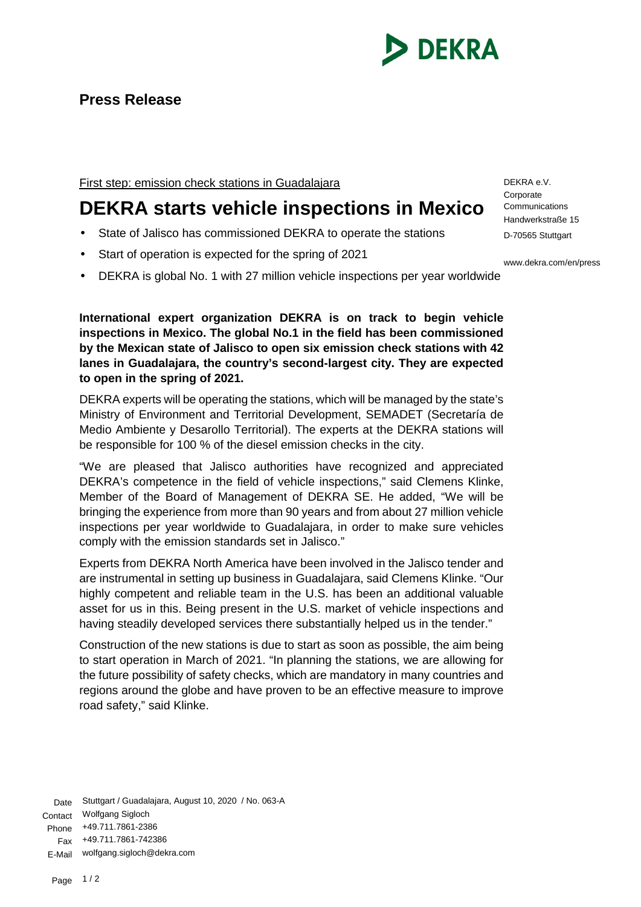

First step: emission check stations in Guadalajara

## **DEKRA starts vehicle inspections in Mexico**

- State of Jalisco has commissioned DEKRA to operate the stations
- Start of operation is expected for the spring of 2021
- DEKRA is global No. 1 with 27 million vehicle inspections per year worldwide

**International expert organization DEKRA is on track to begin vehicle inspections in Mexico. The global No.1 in the field has been commissioned by the Mexican state of Jalisco to open six emission check stations with 42 lanes in Guadalajara, the country's second-largest city. They are expected to open in the spring of 2021.**

DEKRA experts will be operating the stations, which will be managed by the state's Ministry of Environment and Territorial Development, SEMADET (Secretaría de Medio Ambiente y Desarollo Territorial). The experts at the DEKRA stations will be responsible for 100 % of the diesel emission checks in the city.

"We are pleased that Jalisco authorities have recognized and appreciated DEKRA's competence in the field of vehicle inspections," said Clemens Klinke, Member of the Board of Management of DEKRA SE. He added, "We will be bringing the experience from more than 90 years and from about 27 million vehicle inspections per year worldwide to Guadalajara, in order to make sure vehicles comply with the emission standards set in Jalisco."

Experts from DEKRA North America have been involved in the Jalisco tender and are instrumental in setting up business in Guadalajara, said Clemens Klinke. "Our highly competent and reliable team in the U.S. has been an additional valuable asset for us in this. Being present in the U.S. market of vehicle inspections and having steadily developed services there substantially helped us in the tender."

Construction of the new stations is due to start as soon as possible, the aim being to start operation in March of 2021. "In planning the stations, we are allowing for the future possibility of safety checks, which are mandatory in many countries and regions around the globe and have proven to be an effective measure to improve road safety," said Klinke.

Date Stuttgart / Guadalajara, August 10, 2020 / No. 063-A Contact Wolfgang Sigloch Phone +49.711.7861-2386 Fax +49.711.7861-742386 E-Mail wolfgang.sigloch@dekra.com

DEKRA e.V. **Corporate Communications** Handwerkstraße 15 D-70565 Stuttgart

www.dekra.com/en/press